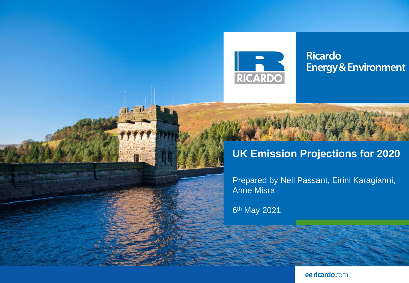

**Ricardo Energy & Environment** 

# **UK Emission Projections for 2020**

Prepared by Neil Passant, Eirini Karagianni, Anne Misra

6 th May 2021

ee.ricardo.com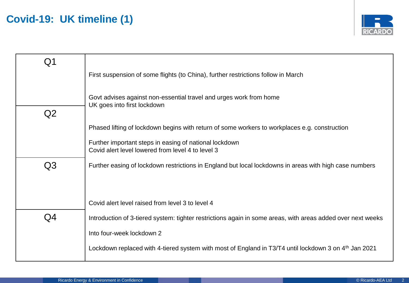## **Covid-19: UK timeline (1)**



| Q1 |                                                                                                                   |
|----|-------------------------------------------------------------------------------------------------------------------|
|    | First suspension of some flights (to China), further restrictions follow in March                                 |
|    |                                                                                                                   |
|    | Govt advises against non-essential travel and urges work from home<br>UK goes into first lockdown                 |
| Q2 |                                                                                                                   |
|    | Phased lifting of lockdown begins with return of some workers to workplaces e.g. construction                     |
|    | Further important steps in easing of national lockdown                                                            |
|    | Covid alert level lowered from level 4 to level 3                                                                 |
| Q3 | Further easing of lockdown restrictions in England but local lockdowns in areas with high case numbers            |
|    |                                                                                                                   |
|    |                                                                                                                   |
|    | Covid alert level raised from level 3 to level 4                                                                  |
| Q4 | Introduction of 3-tiered system: tighter restrictions again in some areas, with areas added over next weeks       |
|    | Into four-week lockdown 2                                                                                         |
|    | Lockdown replaced with 4-tiered system with most of England in T3/T4 until lockdown 3 on 4 <sup>th</sup> Jan 2021 |
|    |                                                                                                                   |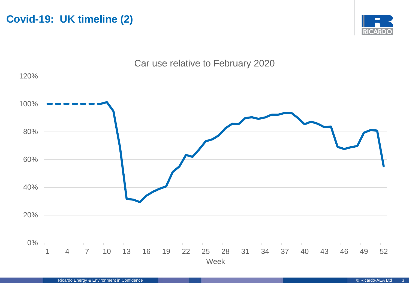**Covid-19: UK timeline (2)**



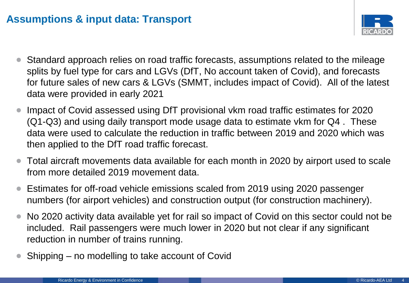#### **Assumptions & input data: Transport**



- Standard approach relies on road traffic forecasts, assumptions related to the mileage splits by fuel type for cars and LGVs (DfT, No account taken of Covid), and forecasts for future sales of new cars & LGVs (SMMT, includes impact of Covid). All of the latest data were provided in early 2021
- Impact of Covid assessed using DfT provisional vkm road traffic estimates for 2020 (Q1-Q3) and using daily transport mode usage data to estimate vkm for Q4 . These data were used to calculate the reduction in traffic between 2019 and 2020 which was then applied to the DfT road traffic forecast.
- Total aircraft movements data available for each month in 2020 by airport used to scale from more detailed 2019 movement data.
- Estimates for off-road vehicle emissions scaled from 2019 using 2020 passenger numbers (for airport vehicles) and construction output (for construction machinery).
- No 2020 activity data available yet for rail so impact of Covid on this sector could not be included. Rail passengers were much lower in 2020 but not clear if any significant reduction in number of trains running.
- Shipping no modelling to take account of Covid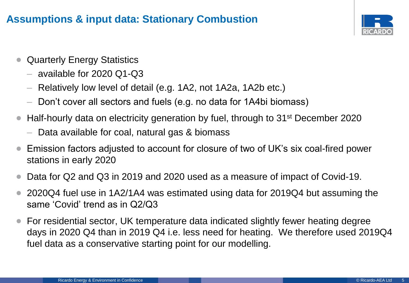### **Assumptions & input data: Stationary Combustion**



- Quarterly Energy Statistics
	- available for 2020 Q1-Q3
	- Relatively low level of detail (e.g. 1A2, not 1A2a, 1A2b etc.)
	- Don't cover all sectors and fuels (e.g. no data for 1A4bi biomass)
- Half-hourly data on electricity generation by fuel, through to 31st December 2020
	- Data available for coal, natural gas & biomass
- Emission factors adjusted to account for closure of two of UK's six coal-fired power stations in early 2020
- Data for Q2 and Q3 in 2019 and 2020 used as a measure of impact of Covid-19.
- 2020Q4 fuel use in 1A2/1A4 was estimated using data for 2019Q4 but assuming the same 'Covid' trend as in Q2/Q3
- For residential sector, UK temperature data indicated slightly fewer heating degree days in 2020 Q4 than in 2019 Q4 i.e. less need for heating. We therefore used 2019Q4 fuel data as a conservative starting point for our modelling.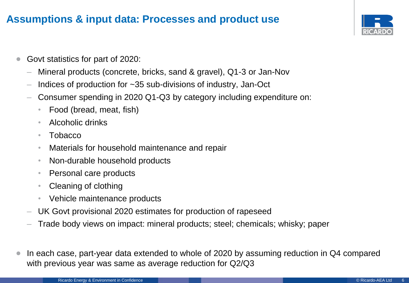#### **Assumptions & input data: Processes and product use**



- Govt statistics for part of 2020:
	- Mineral products (concrete, bricks, sand & gravel), Q1-3 or Jan-Nov
	- Indices of production for ~35 sub-divisions of industry, Jan-Oct
	- Consumer spending in 2020 Q1-Q3 by category including expenditure on:
		- Food (bread, meat, fish)
		- Alcoholic drinks
		- Tobacco
		- Materials for household maintenance and repair
		- Non-durable household products
		- Personal care products
		- Cleaning of clothing
		- Vehicle maintenance products
	- UK Govt provisional 2020 estimates for production of rapeseed
	- Trade body views on impact: mineral products; steel; chemicals; whisky; paper
- In each case, part-year data extended to whole of 2020 by assuming reduction in Q4 compared with previous year was same as average reduction for Q2/Q3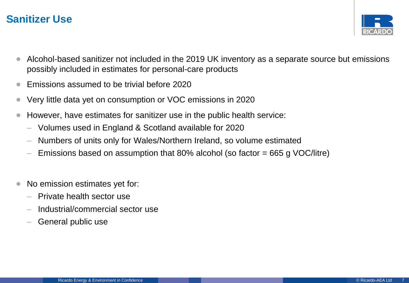#### **Sanitizer Use**



- Alcohol-based sanitizer not included in the 2019 UK inventory as a separate source but emissions possibly included in estimates for personal-care products
- Emissions assumed to be trivial before 2020
- Very little data yet on consumption or VOC emissions in 2020
- However, have estimates for sanitizer use in the public health service:
	- Volumes used in England & Scotland available for 2020
	- Numbers of units only for Wales/Northern Ireland, so volume estimated
	- Emissions based on assumption that 80% alcohol (so factor  $= 665$  g VOC/litre)
- No emission estimates yet for:
	- Private health sector use
	- Industrial/commercial sector use
	- General public use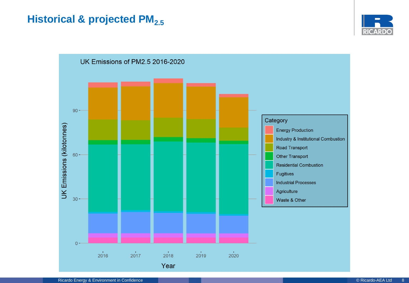### **Historical & projected PM**<sub>2.5</sub>



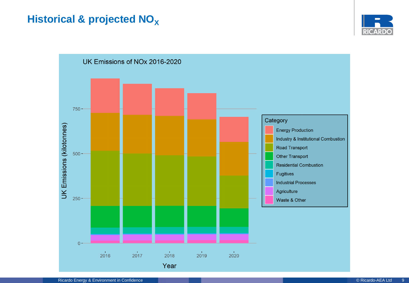### **Historical & projected NO<sub>X</sub>**



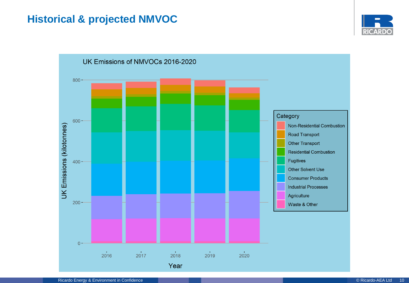## **Historical & projected NMVOC**



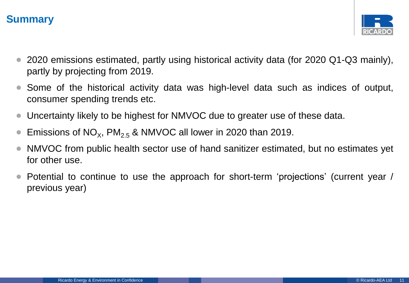### **Summary**



- 2020 emissions estimated, partly using historical activity data (for 2020 Q1-Q3 mainly), partly by projecting from 2019.
- Some of the historical activity data was high-level data such as indices of output, consumer spending trends etc.
- Uncertainty likely to be highest for NMVOC due to greater use of these data.
- Emissions of  $NO_{X}$ ,  $PM_{2.5}$  & NMVOC all lower in 2020 than 2019.
- NMVOC from public health sector use of hand sanitizer estimated, but no estimates yet for other use.
- Potential to continue to use the approach for short-term 'projections' (current year / previous year)